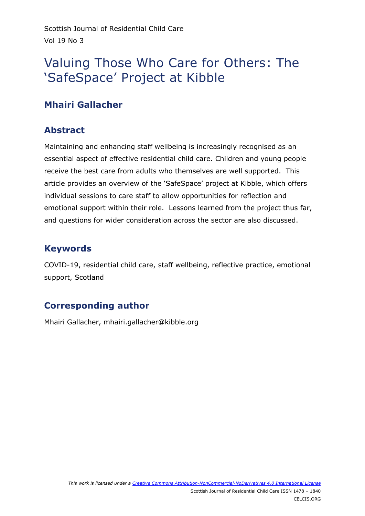# Valuing Those Who Care for Others: The 'SafeSpace' Project at Kibble

# **Mhairi Gallacher**

## **Abstract**

Maintaining and enhancing staff wellbeing is increasingly recognised as an essential aspect of effective residential child care. Children and young people receive the best care from adults who themselves are well supported. This article provides an overview of the 'SafeSpace' project at Kibble, which offers individual sessions to care staff to allow opportunities for reflection and emotional support within their role. Lessons learned from the project thus far, and questions for wider consideration across the sector are also discussed.

# **Keywords**

COVID-19, residential child care, staff wellbeing, reflective practice, emotional support, Scotland

# **Corresponding author**

Mhairi Gallacher, mhairi.gallacher@kibble.org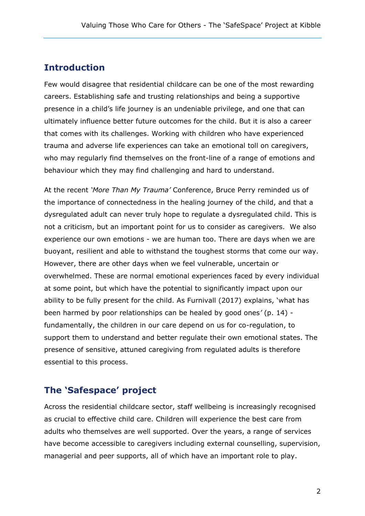### **Introduction**

Few would disagree that residential childcare can be one of the most rewarding careers. Establishing safe and trusting relationships and being a supportive presence in a child's life journey is an undeniable privilege, and one that can ultimately influence better future outcomes for the child. But it is also a career that comes with its challenges. Working with children who have experienced trauma and adverse life experiences can take an emotional toll on caregivers, who may regularly find themselves on the front-line of a range of emotions and behaviour which they may find challenging and hard to understand.

At the recent *'More Than My Trauma'* Conference, Bruce Perry reminded us of the importance of connectedness in the healing journey of the child, and that a dysregulated adult can never truly hope to regulate a dysregulated child. This is not a criticism, but an important point for us to consider as caregivers. We also experience our own emotions - we are human too. There are days when we are buoyant, resilient and able to withstand the toughest storms that come our way. However, there are other days when we feel vulnerable, uncertain or overwhelmed. These are normal emotional experiences faced by every individual at some point, but which have the potential to significantly impact upon our ability to be fully present for the child. As Furnivall (2017) explains, 'what has been harmed by poor relationships can be healed by good ones*'* (p. 14) fundamentally, the children in our care depend on us for co-regulation, to support them to understand and better regulate their own emotional states. The presence of sensitive, attuned caregiving from regulated adults is therefore essential to this process.

### **The 'Safespace' project**

Across the residential childcare sector, staff wellbeing is increasingly recognised as crucial to effective child care. Children will experience the best care from adults who themselves are well supported. Over the years, a range of services have become accessible to caregivers including external counselling, supervision, managerial and peer supports, all of which have an important role to play.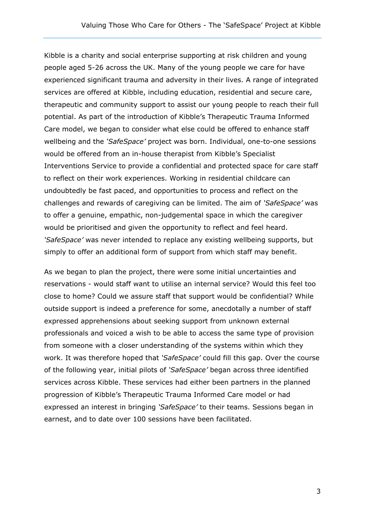Kibble is a charity and social enterprise supporting at risk children and young people aged 5-26 across the UK. Many of the young people we care for have experienced significant trauma and adversity in their lives. A range of integrated services are offered at Kibble, including education, residential and secure care, therapeutic and community support to assist our young people to reach their full potential. As part of the introduction of Kibble's Therapeutic Trauma Informed Care model, we began to consider what else could be offered to enhance staff wellbeing and the *'SafeSpace'* project was born. Individual, one-to-one sessions would be offered from an in-house therapist from Kibble's Specialist Interventions Service to provide a confidential and protected space for care staff to reflect on their work experiences. Working in residential childcare can undoubtedly be fast paced, and opportunities to process and reflect on the challenges and rewards of caregiving can be limited. The aim of *'SafeSpace'* was to offer a genuine, empathic, non-judgemental space in which the caregiver would be prioritised and given the opportunity to reflect and feel heard. *'SafeSpace'* was never intended to replace any existing wellbeing supports, but simply to offer an additional form of support from which staff may benefit.

As we began to plan the project, there were some initial uncertainties and reservations - would staff want to utilise an internal service? Would this feel too close to home? Could we assure staff that support would be confidential? While outside support is indeed a preference for some, anecdotally a number of staff expressed apprehensions about seeking support from unknown external professionals and voiced a wish to be able to access the same type of provision from someone with a closer understanding of the systems within which they work. It was therefore hoped that *'SafeSpace'* could fill this gap. Over the course of the following year, initial pilots of *'SafeSpace'* began across three identified services across Kibble. These services had either been partners in the planned progression of Kibble's Therapeutic Trauma Informed Care model or had expressed an interest in bringing *'SafeSpace'* to their teams. Sessions began in earnest, and to date over 100 sessions have been facilitated.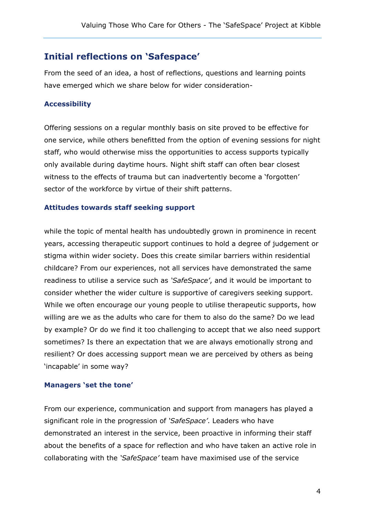### **Initial reflections on 'Safespace'**

From the seed of an idea, a host of reflections, questions and learning points have emerged which we share below for wider consideration-

#### **Accessibility**

Offering sessions on a regular monthly basis on site proved to be effective for one service, while others benefitted from the option of evening sessions for night staff, who would otherwise miss the opportunities to access supports typically only available during daytime hours. Night shift staff can often bear closest witness to the effects of trauma but can inadvertently become a 'forgotten' sector of the workforce by virtue of their shift patterns.

#### **Attitudes towards staff seeking support**

while the topic of mental health has undoubtedly grown in prominence in recent years, accessing therapeutic support continues to hold a degree of judgement or stigma within wider society. Does this create similar barriers within residential childcare? From our experiences, not all services have demonstrated the same readiness to utilise a service such as *'SafeSpace'*, and it would be important to consider whether the wider culture is supportive of caregivers seeking support. While we often encourage our young people to utilise therapeutic supports, how willing are we as the adults who care for them to also do the same? Do we lead by example? Or do we find it too challenging to accept that we also need support sometimes? Is there an expectation that we are always emotionally strong and resilient? Or does accessing support mean we are perceived by others as being 'incapable' in some way?

#### **Managers 'set the tone'**

From our experience, communication and support from managers has played a significant role in the progression of *'SafeSpace'*. Leaders who have demonstrated an interest in the service, been proactive in informing their staff about the benefits of a space for reflection and who have taken an active role in collaborating with the *'SafeSpace'* team have maximised use of the service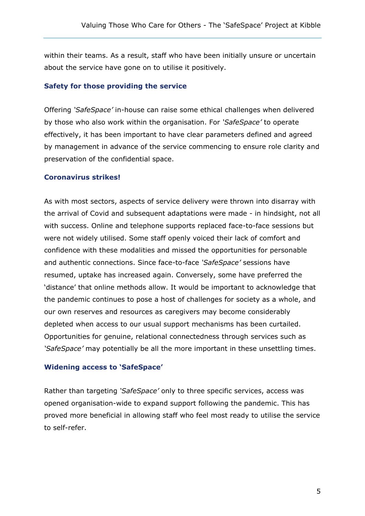within their teams. As a result, staff who have been initially unsure or uncertain about the service have gone on to utilise it positively.

#### **Safety for those providing the service**

Offering *'SafeSpace'* in-house can raise some ethical challenges when delivered by those who also work within the organisation. For *'SafeSpace'* to operate effectively, it has been important to have clear parameters defined and agreed by management in advance of the service commencing to ensure role clarity and preservation of the confidential space.

#### **Coronavirus strikes!**

As with most sectors, aspects of service delivery were thrown into disarray with the arrival of Covid and subsequent adaptations were made - in hindsight, not all with success. Online and telephone supports replaced face-to-face sessions but were not widely utilised. Some staff openly voiced their lack of comfort and confidence with these modalities and missed the opportunities for personable and authentic connections. Since face-to-face *'SafeSpace'* sessions have resumed, uptake has increased again. Conversely, some have preferred the 'distance' that online methods allow. It would be important to acknowledge that the pandemic continues to pose a host of challenges for society as a whole, and our own reserves and resources as caregivers may become considerably depleted when access to our usual support mechanisms has been curtailed. Opportunities for genuine, relational connectedness through services such as *'SafeSpace'* may potentially be all the more important in these unsettling times.

#### **Widening access to 'SafeSpace'**

Rather than targeting *'SafeSpace'* only to three specific services, access was opened organisation-wide to expand support following the pandemic. This has proved more beneficial in allowing staff who feel most ready to utilise the service to self-refer.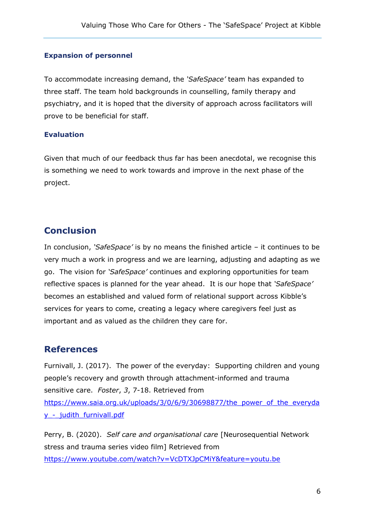#### **Expansion of personnel**

To accommodate increasing demand, the *'SafeSpace'* team has expanded to three staff. The team hold backgrounds in counselling, family therapy and psychiatry, and it is hoped that the diversity of approach across facilitators will prove to be beneficial for staff.

#### **Evaluation**

Given that much of our feedback thus far has been anecdotal, we recognise this is something we need to work towards and improve in the next phase of the project.

### **Conclusion**

In conclusion, *'SafeSpace'* is by no means the finished article – it continues to be very much a work in progress and we are learning, adjusting and adapting as we go. The vision for *'SafeSpace'* continues and exploring opportunities for team reflective spaces is planned for the year ahead. It is our hope that *'SafeSpace'* becomes an established and valued form of relational support across Kibble's services for years to come, creating a legacy where caregivers feel just as important and as valued as the children they care for.

### **References**

Furnivall, J. (2017). The power of the everyday: Supporting children and young people's recovery and growth through attachment-informed and trauma sensitive care. *Foster*, *3*, 7-18. Retrieved from [https://www.saia.org.uk/uploads/3/0/6/9/30698877/the\\_power\\_of\\_the\\_everyda](https://www.saia.org.uk/uploads/3/0/6/9/30698877/the_power_of_the_everyday_-_judith_furnivall.pdf) y - judith furnivall.pdf

Perry, B. (2020). *Self care and organisational care* [Neurosequential Network stress and trauma series video film] Retrieved from <https://www.youtube.com/watch?v=VcDTXJpCMiY&feature=youtu.be>